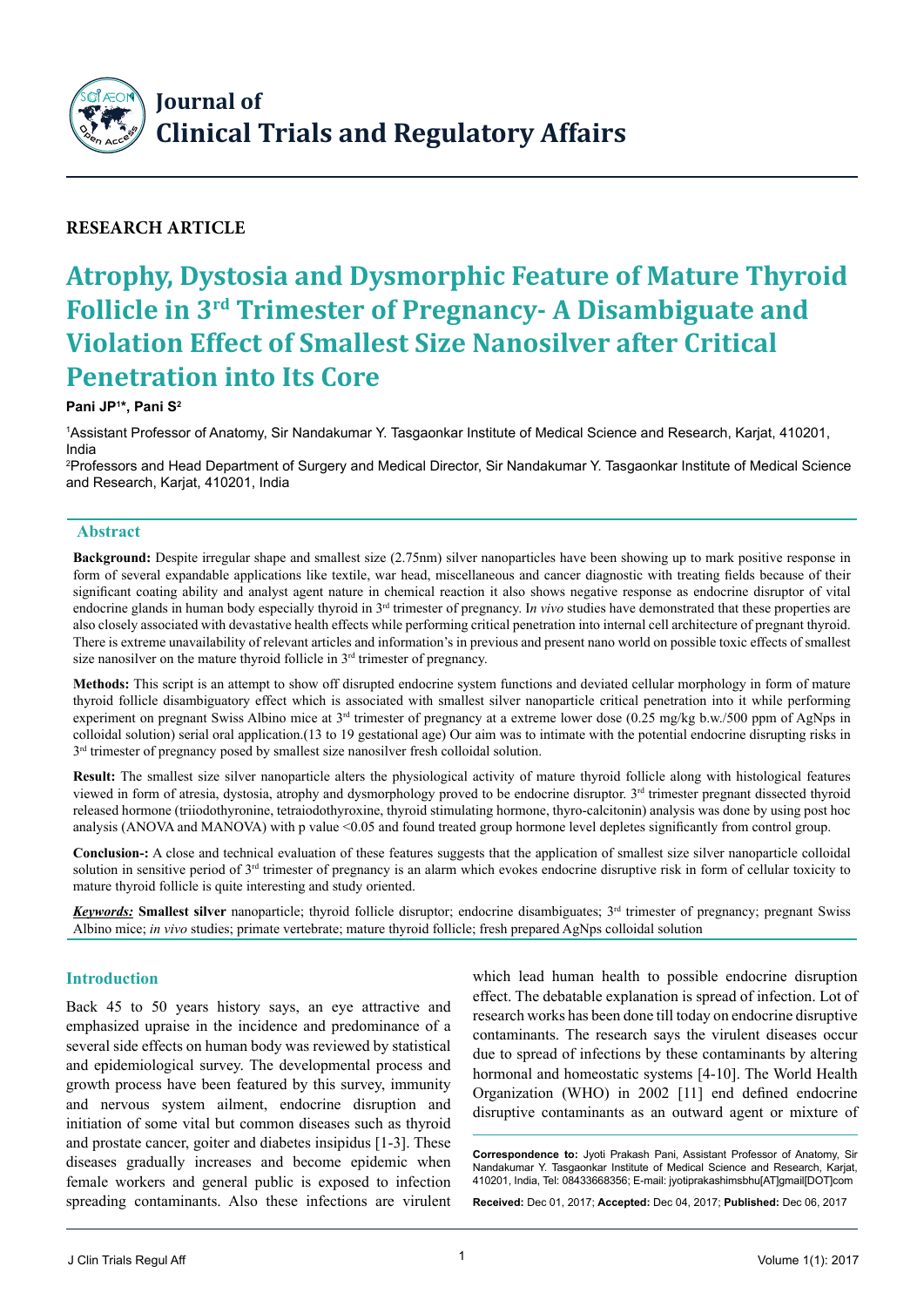

# **Research Article**

# **Atrophy, Dystosia and Dysmorphic Feature of Mature Thyroid Follicle in 3rd Trimester of Pregnancy- A Disambiguate and Violation Effect of Smallest Size Nanosilver after Critical Penetration into Its Core**

#### **Pani JP1 \*, Pani S2**

1 Assistant Professor of Anatomy, Sir Nandakumar Y. Tasgaonkar Institute of Medical Science and Research, Karjat, 410201, India

2 Professors and Head Department of Surgery and Medical Director, Sir Nandakumar Y. Tasgaonkar Institute of Medical Science and Research, Karjat, 410201, India

#### **Abstract**

**Background:** Despite irregular shape and smallest size (2.75nm) silver nanoparticles have been showing up to mark positive response in form of several expandable applications like textile, war head, miscellaneous and cancer diagnostic with treating fields because of their significant coating ability and analyst agent nature in chemical reaction it also shows negative response as endocrine disruptor of vital endocrine glands in human body especially thyroid in 3rd trimester of pregnancy. I*n vivo* studies have demonstrated that these properties are also closely associated with devastative health effects while performing critical penetration into internal cell architecture of pregnant thyroid. There is extreme unavailability of relevant articles and information's in previous and present nano world on possible toxic effects of smallest size nanosilver on the mature thyroid follicle in  $3<sup>rd</sup>$  trimester of pregnancy.

**Methods:** This script is an attempt to show off disrupted endocrine system functions and deviated cellular morphology in form of mature thyroid follicle disambiguatory effect which is associated with smallest silver nanoparticle critical penetration into it while performing experiment on pregnant Swiss Albino mice at  $3<sup>rd</sup>$  trimester of pregnancy at a extreme lower dose (0.25 mg/kg b.w./500 ppm of AgNps in colloidal solution) serial oral application.(13 to 19 gestational age) Our aim was to intimate with the potential endocrine disrupting risks in  $3<sup>rd</sup>$  trimester of pregnancy posed by smallest size nanosilver fresh colloidal solution.

**Result:** The smallest size silver nanoparticle alters the physiological activity of mature thyroid follicle along with histological features viewed in form of atresia, dystosia, atrophy and dysmorphology proved to be endocrine disruptor. 3<sup>rd</sup> trimester pregnant dissected thyroid released hormone (triiodothyronine, tetraiodothyroxine, thyroid stimulating hormone, thyro-calcitonin) analysis was done by using post hoc analysis (ANOVA and MANOVA) with p value <0.05 and found treated group hormone level depletes significantly from control group.

**Conclusion-:** A close and technical evaluation of these features suggests that the application of smallest size silver nanoparticle colloidal solution in sensitive period of 3<sup>rd</sup> trimester of pregnancy is an alarm which evokes endocrine disruptive risk in form of cellular toxicity to mature thyroid follicle is quite interesting and study oriented.

*Keywords:* **Smallest silver** nanoparticle; thyroid follicle disruptor; endocrine disambiguates; 3rd trimester of pregnancy; pregnant Swiss Albino mice; *in vivo* studies; primate vertebrate; mature thyroid follicle; fresh prepared AgNps colloidal solution

#### **Introduction**

Back 45 to 50 years history says, an eye attractive and emphasized upraise in the incidence and predominance of a several side effects on human body was reviewed by statistical and epidemiological survey. The developmental process and growth process have been featured by this survey, immunity and nervous system ailment, endocrine disruption and initiation of some vital but common diseases such as thyroid and prostate cancer, goiter and diabetes insipidus [1-3]. These diseases gradually increases and become epidemic when female workers and general public is exposed to infection spreading contaminants. Also these infections are virulent

which lead human health to possible endocrine disruption effect. The debatable explanation is spread of infection. Lot of research works has been done till today on endocrine disruptive contaminants. The research says the virulent diseases occur due to spread of infections by these contaminants by altering hormonal and homeostatic systems [4-10]. The World Health Organization (WHO) in 2002 [11] end defined endocrine disruptive contaminants as an outward agent or mixture of

**Correspondence to:** Jyoti Prakash Pani, Assistant Professor of Anatomy, Sir Nandakumar Y. Tasgaonkar Institute of Medical Science and Research, Karjat, 410201, India, Tel: 08433668356; E-mail: jyotiprakashimsbhu[AT]gmail[DOT]com

**Received:** Dec 01, 2017; **Accepted:** Dec 04, 2017; **Published:** Dec 06, 2017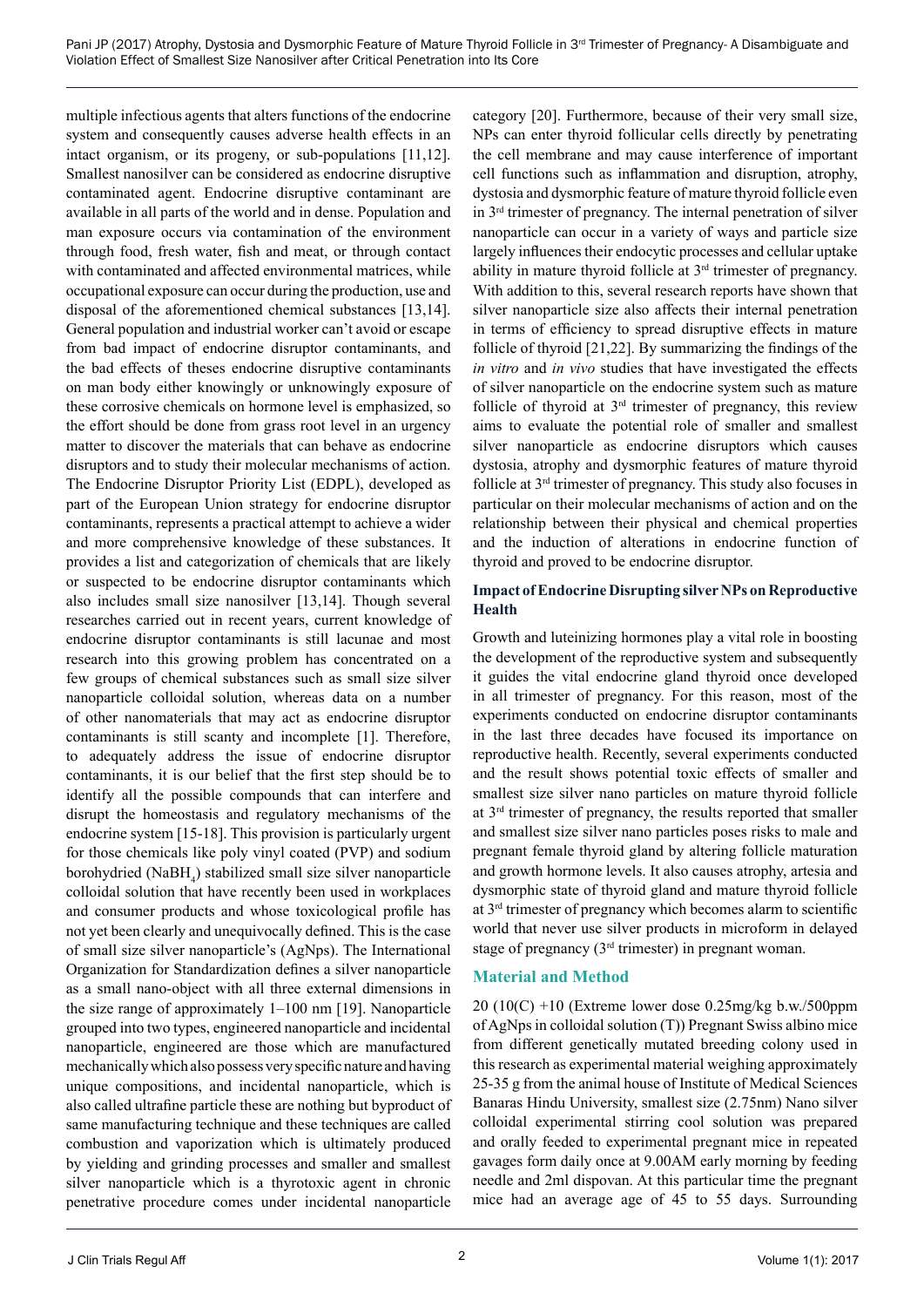multiple infectious agents that alters functions of the endocrine system and consequently causes adverse health effects in an intact organism, or its progeny, or sub-populations [11,12]. Smallest nanosilver can be considered as endocrine disruptive contaminated agent. Endocrine disruptive contaminant are available in all parts of the world and in dense. Population and man exposure occurs via contamination of the environment through food, fresh water, fish and meat, or through contact with contaminated and affected environmental matrices, while occupational exposure can occur during the production, use and disposal of the aforementioned chemical substances [13,14]. General population and industrial worker can't avoid or escape from bad impact of endocrine disruptor contaminants, and the bad effects of theses endocrine disruptive contaminants on man body either knowingly or unknowingly exposure of these corrosive chemicals on hormone level is emphasized, so the effort should be done from grass root level in an urgency matter to discover the materials that can behave as endocrine disruptors and to study their molecular mechanisms of action. The Endocrine Disruptor Priority List (EDPL), developed as part of the European Union strategy for endocrine disruptor contaminants, represents a practical attempt to achieve a wider and more comprehensive knowledge of these substances. It provides a list and categorization of chemicals that are likely or suspected to be endocrine disruptor contaminants which also includes small size nanosilver [13,14]. Though several researches carried out in recent years, current knowledge of endocrine disruptor contaminants is still lacunae and most research into this growing problem has concentrated on a few groups of chemical substances such as small size silver nanoparticle colloidal solution, whereas data on a number of other nanomaterials that may act as endocrine disruptor contaminants is still scanty and incomplete [1]. Therefore, to adequately address the issue of endocrine disruptor contaminants, it is our belief that the first step should be to identify all the possible compounds that can interfere and disrupt the homeostasis and regulatory mechanisms of the endocrine system [15-18]. This provision is particularly urgent for those chemicals like poly vinyl coated (PVP) and sodium borohydried (NaBH<sub>4</sub>) stabilized small size silver nanoparticle colloidal solution that have recently been used in workplaces and consumer products and whose toxicological profile has not yet been clearly and unequivocally defined. This is the case of small size silver nanoparticle's (AgNps). The International Organization for Standardization defines a silver nanoparticle as a small nano-object with all three external dimensions in the size range of approximately 1–100 nm [19]. Nanoparticle grouped into two types, engineered nanoparticle and incidental nanoparticle, engineered are those which are manufactured mechanically which also possess very specific nature and having unique compositions, and incidental nanoparticle, which is also called ultrafine particle these are nothing but byproduct of same manufacturing technique and these techniques are called combustion and vaporization which is ultimately produced by yielding and grinding processes and smaller and smallest silver nanoparticle which is a thyrotoxic agent in chronic penetrative procedure comes under incidental nanoparticle

category [20]. Furthermore, because of their very small size, NPs can enter thyroid follicular cells directly by penetrating the cell membrane and may cause interference of important cell functions such as inflammation and disruption, atrophy, dystosia and dysmorphic feature of mature thyroid follicle even in 3rd trimester of pregnancy. The internal penetration of silver nanoparticle can occur in a variety of ways and particle size largely influences their endocytic processes and cellular uptake ability in mature thyroid follicle at 3rd trimester of pregnancy. With addition to this, several research reports have shown that silver nanoparticle size also affects their internal penetration in terms of efficiency to spread disruptive effects in mature follicle of thyroid [21,22]. By summarizing the findings of the *in vitro* and *in vivo* studies that have investigated the effects of silver nanoparticle on the endocrine system such as mature follicle of thyroid at  $3<sup>rd</sup>$  trimester of pregnancy, this review aims to evaluate the potential role of smaller and smallest silver nanoparticle as endocrine disruptors which causes dystosia, atrophy and dysmorphic features of mature thyroid follicle at 3rd trimester of pregnancy. This study also focuses in particular on their molecular mechanisms of action and on the relationship between their physical and chemical properties and the induction of alterations in endocrine function of thyroid and proved to be endocrine disruptor.

#### **Impact of Endocrine Disrupting silver NPs on Reproductive Health**

Growth and luteinizing hormones play a vital role in boosting the development of the reproductive system and subsequently it guides the vital endocrine gland thyroid once developed in all trimester of pregnancy. For this reason, most of the experiments conducted on endocrine disruptor contaminants in the last three decades have focused its importance on reproductive health. Recently, several experiments conducted and the result shows potential toxic effects of smaller and smallest size silver nano particles on mature thyroid follicle at 3rd trimester of pregnancy, the results reported that smaller and smallest size silver nano particles poses risks to male and pregnant female thyroid gland by altering follicle maturation and growth hormone levels. It also causes atrophy, artesia and dysmorphic state of thyroid gland and mature thyroid follicle at 3rd trimester of pregnancy which becomes alarm to scientific world that never use silver products in microform in delayed stage of pregnancy (3rd trimester) in pregnant woman.

# **Material and Method**

20 (10(C) +10 (Extreme lower dose 0.25mg/kg b.w./500ppm of AgNps in colloidal solution (T)) Pregnant Swiss albino mice from different genetically mutated breeding colony used in this research as experimental material weighing approximately 25-35 g from the animal house of Institute of Medical Sciences Banaras Hindu University, smallest size (2.75nm) Nano silver colloidal experimental stirring cool solution was prepared and orally feeded to experimental pregnant mice in repeated gavages form daily once at 9.00AM early morning by feeding needle and 2ml dispovan. At this particular time the pregnant mice had an average age of 45 to 55 days. Surrounding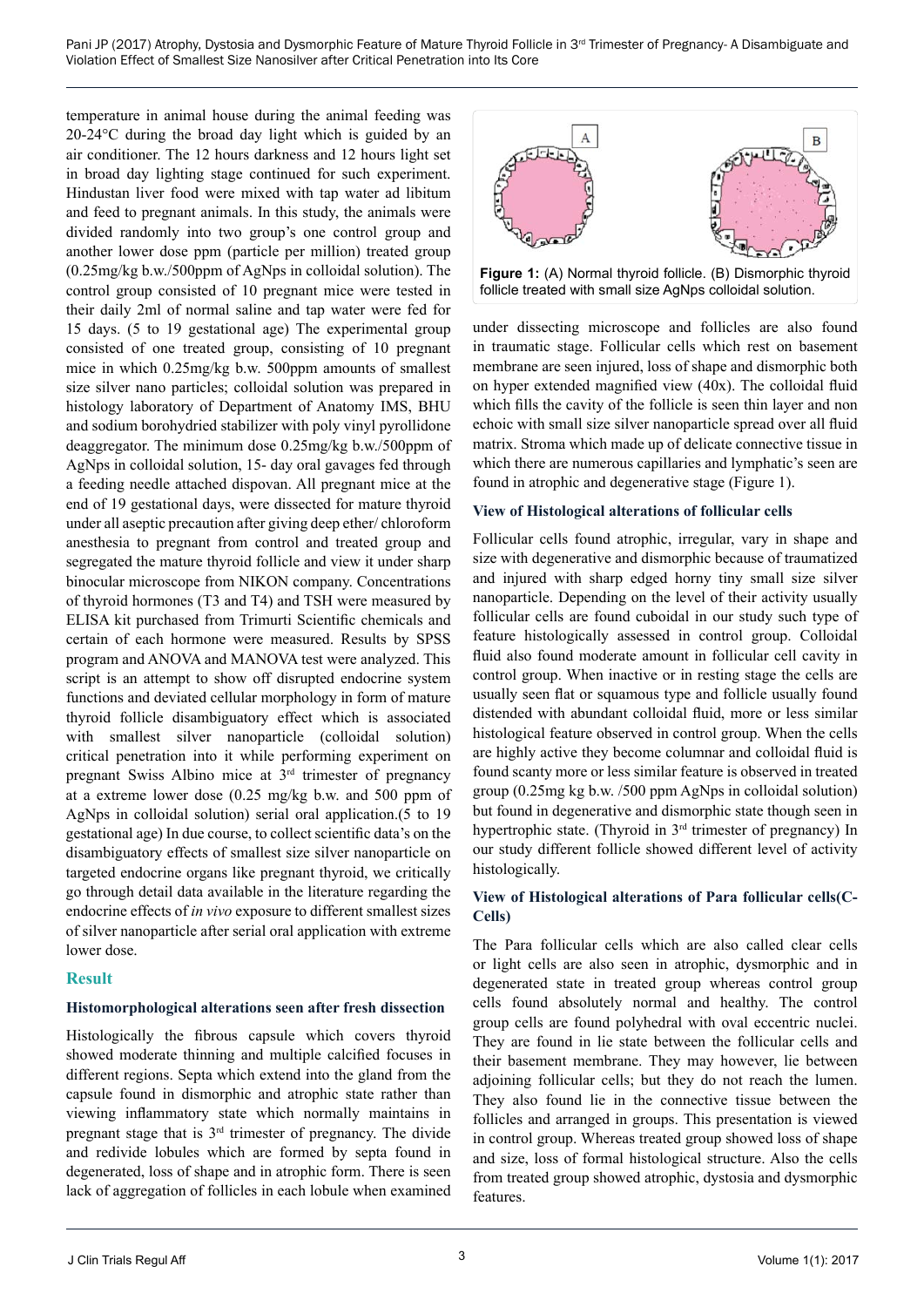Pani JP (2017) Atrophy, Dystosia and Dysmorphic Feature of Mature Thyroid Follicle in 3<sup>rd</sup> Trimester of Pregnancy- A Disambiguate and Violation Effect of Smallest Size Nanosilver after Critical Penetration into Its Core

temperature in animal house during the animal feeding was 20-24°C during the broad day light which is guided by an air conditioner. The 12 hours darkness and 12 hours light set in broad day lighting stage continued for such experiment. Hindustan liver food were mixed with tap water ad libitum and feed to pregnant animals. In this study, the animals were divided randomly into two group's one control group and another lower dose ppm (particle per million) treated group (0.25mg/kg b.w./500ppm of AgNps in colloidal solution). The control group consisted of 10 pregnant mice were tested in their daily 2ml of normal saline and tap water were fed for 15 days. (5 to 19 gestational age) The experimental group consisted of one treated group, consisting of 10 pregnant mice in which 0.25mg/kg b.w. 500ppm amounts of smallest size silver nano particles; colloidal solution was prepared in histology laboratory of Department of Anatomy IMS, BHU and sodium borohydried stabilizer with poly vinyl pyrollidone deaggregator. The minimum dose 0.25mg/kg b.w./500ppm of AgNps in colloidal solution, 15- day oral gavages fed through a feeding needle attached dispovan. All pregnant mice at the end of 19 gestational days, were dissected for mature thyroid under all aseptic precaution after giving deep ether/ chloroform anesthesia to pregnant from control and treated group and segregated the mature thyroid follicle and view it under sharp binocular microscope from NIKON company. Concentrations of thyroid hormones (T3 and T4) and TSH were measured by ELISA kit purchased from Trimurti Scientific chemicals and certain of each hormone were measured. Results by SPSS program and ANOVA and MANOVA test were analyzed. This script is an attempt to show off disrupted endocrine system functions and deviated cellular morphology in form of mature thyroid follicle disambiguatory effect which is associated with smallest silver nanoparticle (colloidal solution) critical penetration into it while performing experiment on pregnant Swiss Albino mice at 3rd trimester of pregnancy at a extreme lower dose (0.25 mg/kg b.w. and 500 ppm of AgNps in colloidal solution) serial oral application.(5 to 19 gestational age) In due course, to collect scientific data's on the disambiguatory effects of smallest size silver nanoparticle on targeted endocrine organs like pregnant thyroid, we critically go through detail data available in the literature regarding the endocrine effects of *in vivo* exposure to different smallest sizes of silver nanoparticle after serial oral application with extreme lower dose.

#### **Result**

#### **Histomorphological alterations seen after fresh dissection**

Histologically the fibrous capsule which covers thyroid showed moderate thinning and multiple calcified focuses in different regions. Septa which extend into the gland from the capsule found in dismorphic and atrophic state rather than viewing inflammatory state which normally maintains in pregnant stage that is  $3<sup>rd</sup>$  trimester of pregnancy. The divide and redivide lobules which are formed by septa found in degenerated, loss of shape and in atrophic form. There is seen lack of aggregation of follicles in each lobule when examined



under dissecting microscope and follicles are also found in traumatic stage. Follicular cells which rest on basement membrane are seen injured, loss of shape and dismorphic both on hyper extended magnified view (40x). The colloidal fluid which fills the cavity of the follicle is seen thin layer and non echoic with small size silver nanoparticle spread over all fluid matrix. Stroma which made up of delicate connective tissue in which there are numerous capillaries and lymphatic's seen are found in atrophic and degenerative stage (Figure 1).

#### **View of Histological alterations of follicular cells**

Follicular cells found atrophic, irregular, vary in shape and size with degenerative and dismorphic because of traumatized and injured with sharp edged horny tiny small size silver nanoparticle. Depending on the level of their activity usually follicular cells are found cuboidal in our study such type of feature histologically assessed in control group. Colloidal fluid also found moderate amount in follicular cell cavity in control group. When inactive or in resting stage the cells are usually seen flat or squamous type and follicle usually found distended with abundant colloidal fluid, more or less similar histological feature observed in control group. When the cells are highly active they become columnar and colloidal fluid is found scanty more or less similar feature is observed in treated group (0.25mg kg b.w. /500 ppm AgNps in colloidal solution) but found in degenerative and dismorphic state though seen in hypertrophic state. (Thyroid in 3<sup>rd</sup> trimester of pregnancy) In our study different follicle showed different level of activity histologically.

# **View of Histological alterations of Para follicular cells(C-Cells)**

The Para follicular cells which are also called clear cells or light cells are also seen in atrophic, dysmorphic and in degenerated state in treated group whereas control group cells found absolutely normal and healthy. The control group cells are found polyhedral with oval eccentric nuclei. They are found in lie state between the follicular cells and their basement membrane. They may however, lie between adjoining follicular cells; but they do not reach the lumen. They also found lie in the connective tissue between the follicles and arranged in groups. This presentation is viewed in control group. Whereas treated group showed loss of shape and size, loss of formal histological structure. Also the cells from treated group showed atrophic, dystosia and dysmorphic features.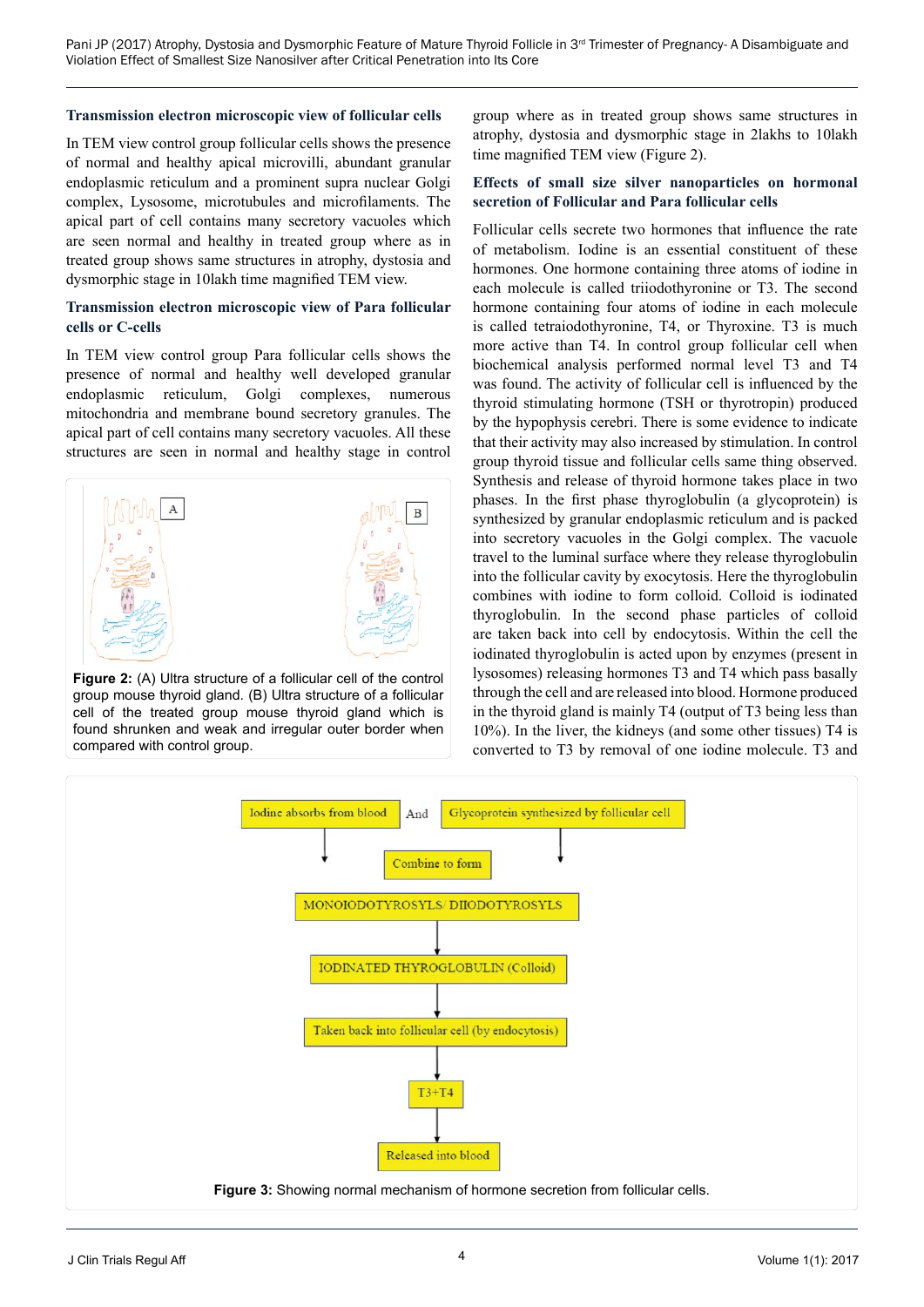#### **Transmission electron microscopic view of follicular cells**

In TEM view control group follicular cells shows the presence of normal and healthy apical microvilli, abundant granular endoplasmic reticulum and a prominent supra nuclear Golgi complex, Lysosome, microtubules and microfilaments. The apical part of cell contains many secretory vacuoles which are seen normal and healthy in treated group where as in treated group shows same structures in atrophy, dystosia and dysmorphic stage in 10lakh time magnified TEM view.

#### **Transmission electron microscopic view of Para follicular cells or C-cells**

In TEM view control group Para follicular cells shows the presence of normal and healthy well developed granular endoplasmic reticulum, Golgi complexes, numerous mitochondria and membrane bound secretory granules. The apical part of cell contains many secretory vacuoles. All these structures are seen in normal and healthy stage in control



**Figure 2:** (A) Ultra structure of a follicular cell of the control group mouse thyroid gland. (B) Ultra structure of a follicular cell of the treated group mouse thyroid gland which is found shrunken and weak and irregular outer border when compared with control group.

group where as in treated group shows same structures in atrophy, dystosia and dysmorphic stage in 2lakhs to 10lakh time magnified TEM view (Figure 2).

#### **Effects of small size silver nanoparticles on hormonal secretion of Follicular and Para follicular cells**

Follicular cells secrete two hormones that influence the rate of metabolism. Iodine is an essential constituent of these hormones. One hormone containing three atoms of iodine in each molecule is called triiodothyronine or T3. The second hormone containing four atoms of iodine in each molecule is called tetraiodothyronine, T4, or Thyroxine. T3 is much more active than T4. In control group follicular cell when biochemical analysis performed normal level T3 and T4 was found. The activity of follicular cell is influenced by the thyroid stimulating hormone (TSH or thyrotropin) produced by the hypophysis cerebri. There is some evidence to indicate that their activity may also increased by stimulation. In control group thyroid tissue and follicular cells same thing observed. Synthesis and release of thyroid hormone takes place in two phases. In the first phase thyroglobulin (a glycoprotein) is synthesized by granular endoplasmic reticulum and is packed into secretory vacuoles in the Golgi complex. The vacuole travel to the luminal surface where they release thyroglobulin into the follicular cavity by exocytosis. Here the thyroglobulin combines with iodine to form colloid. Colloid is iodinated thyroglobulin. In the second phase particles of colloid are taken back into cell by endocytosis. Within the cell the iodinated thyroglobulin is acted upon by enzymes (present in lysosomes) releasing hormones T3 and T4 which pass basally through the cell and are released into blood. Hormone produced in the thyroid gland is mainly T4 (output of T3 being less than 10%). In the liver, the kidneys (and some other tissues) T4 is converted to T3 by removal of one iodine molecule. T3 and

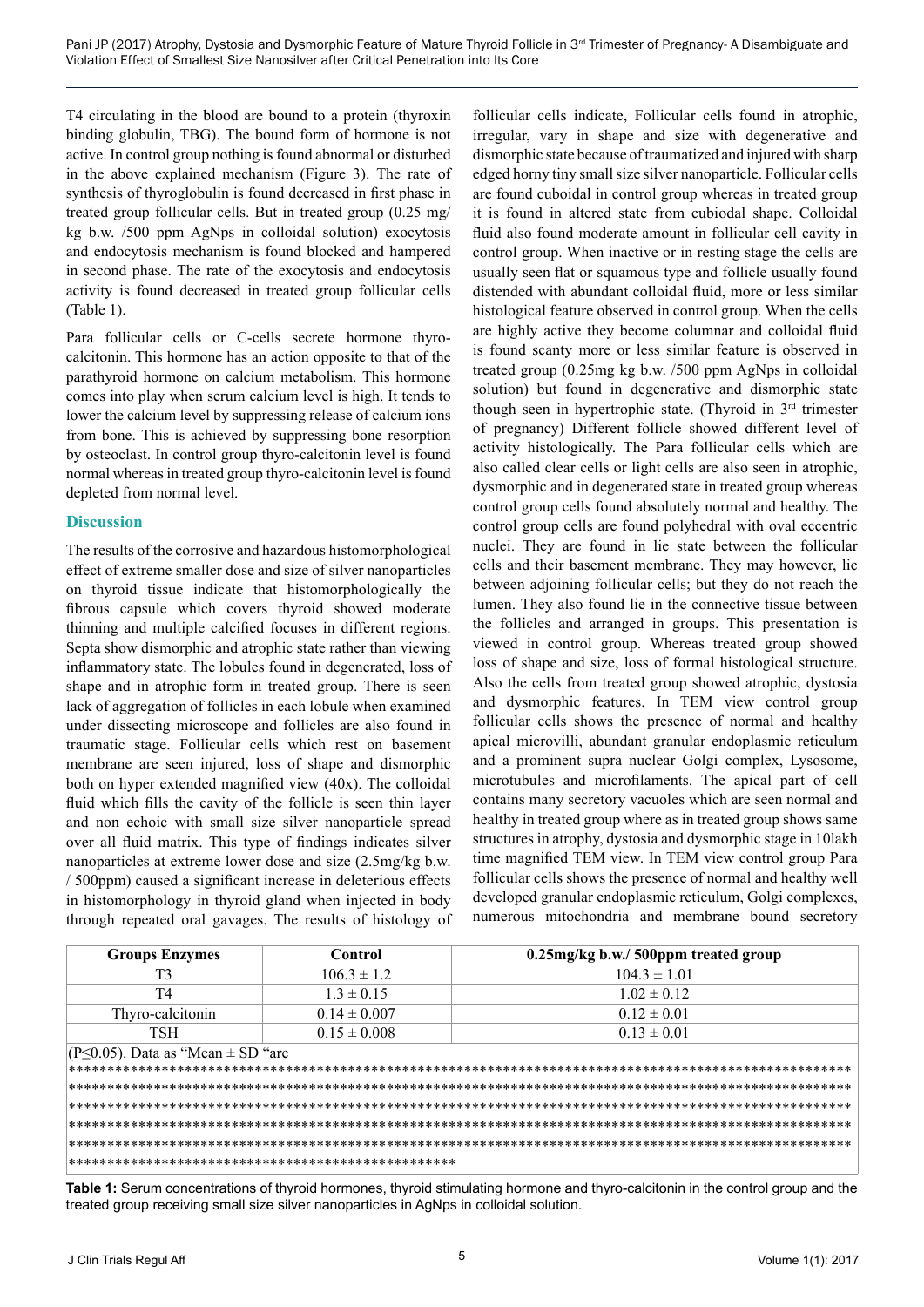T4 circulating in the blood are bound to a protein (thyroxin binding globulin, TBG). The bound form of hormone is not active. In control group nothing is found abnormal or disturbed in the above explained mechanism (Figure 3). The rate of synthesis of thyroglobulin is found decreased in first phase in treated group follicular cells. But in treated group (0.25 mg/ kg b.w. /500 ppm AgNps in colloidal solution) exocytosis and endocytosis mechanism is found blocked and hampered in second phase. The rate of the exocytosis and endocytosis activity is found decreased in treated group follicular cells (Table 1).

Para follicular cells or C-cells secrete hormone thyrocalcitonin. This hormone has an action opposite to that of the parathyroid hormone on calcium metabolism. This hormone comes into play when serum calcium level is high. It tends to lower the calcium level by suppressing release of calcium ions from bone. This is achieved by suppressing bone resorption by osteoclast. In control group thyro-calcitonin level is found normal whereas in treated group thyro-calcitonin level is found depleted from normal level.

# **Discussion**

The results of the corrosive and hazardous histomorphological effect of extreme smaller dose and size of silver nanoparticles on thyroid tissue indicate that histomorphologically the fibrous capsule which covers thyroid showed moderate thinning and multiple calcified focuses in different regions. Septa show dismorphic and atrophic state rather than viewing inflammatory state. The lobules found in degenerated, loss of shape and in atrophic form in treated group. There is seen lack of aggregation of follicles in each lobule when examined under dissecting microscope and follicles are also found in traumatic stage. Follicular cells which rest on basement membrane are seen injured, loss of shape and dismorphic both on hyper extended magnified view (40x). The colloidal fluid which fills the cavity of the follicle is seen thin layer and non echoic with small size silver nanoparticle spread over all fluid matrix. This type of findings indicates silver nanoparticles at extreme lower dose and size (2.5mg/kg b.w. / 500ppm) caused a significant increase in deleterious effects in histomorphology in thyroid gland when injected in body through repeated oral gavages. The results of histology of

follicular cells indicate, Follicular cells found in atrophic, irregular, vary in shape and size with degenerative and dismorphic state because of traumatized and injured with sharp edged horny tiny small size silver nanoparticle. Follicular cells are found cuboidal in control group whereas in treated group it is found in altered state from cubiodal shape. Colloidal fluid also found moderate amount in follicular cell cavity in control group. When inactive or in resting stage the cells are usually seen flat or squamous type and follicle usually found distended with abundant colloidal fluid, more or less similar histological feature observed in control group. When the cells are highly active they become columnar and colloidal fluid is found scanty more or less similar feature is observed in treated group (0.25mg kg b.w. /500 ppm AgNps in colloidal solution) but found in degenerative and dismorphic state though seen in hypertrophic state. (Thyroid in 3rd trimester of pregnancy) Different follicle showed different level of activity histologically. The Para follicular cells which are also called clear cells or light cells are also seen in atrophic, dysmorphic and in degenerated state in treated group whereas control group cells found absolutely normal and healthy. The control group cells are found polyhedral with oval eccentric nuclei. They are found in lie state between the follicular cells and their basement membrane. They may however, lie between adjoining follicular cells; but they do not reach the lumen. They also found lie in the connective tissue between the follicles and arranged in groups. This presentation is viewed in control group. Whereas treated group showed loss of shape and size, loss of formal histological structure. Also the cells from treated group showed atrophic, dystosia and dysmorphic features. In TEM view control group follicular cells shows the presence of normal and healthy apical microvilli, abundant granular endoplasmic reticulum and a prominent supra nuclear Golgi complex, Lysosome, microtubules and microfilaments. The apical part of cell contains many secretory vacuoles which are seen normal and healthy in treated group where as in treated group shows same structures in atrophy, dystosia and dysmorphic stage in 10lakh time magnified TEM view. In TEM view control group Para follicular cells shows the presence of normal and healthy well developed granular endoplasmic reticulum, Golgi complexes, numerous mitochondria and membrane bound secretory

| <b>Groups Enzymes</b>                        | Control          | 0.25mg/kg b.w./ 500ppm treated group |
|----------------------------------------------|------------------|--------------------------------------|
| T3                                           | $106.3 \pm 1.2$  | $104.3 \pm 1.01$                     |
| T4                                           | $13 \pm 0.15$    | $1.02 \pm 0.12$                      |
| Thyro-calcitonin                             | $0.14 \pm 0.007$ | $0.12 \pm 0.01$                      |
| TSH                                          | $0.15 \pm 0.008$ | $0.13 \pm 0.01$                      |
| (P $\leq$ 0.05). Data as "Mean $\pm$ SD "are |                  |                                      |
|                                              |                  |                                      |
|                                              |                  |                                      |
|                                              |                  |                                      |
|                                              |                  |                                      |
|                                              |                  |                                      |
|                                              |                  |                                      |

**Table 1:** Serum concentrations of thyroid hormones, thyroid stimulating hormone and thyro-calcitonin in the control group and the treated group receiving small size silver nanoparticles in AgNps in colloidal solution.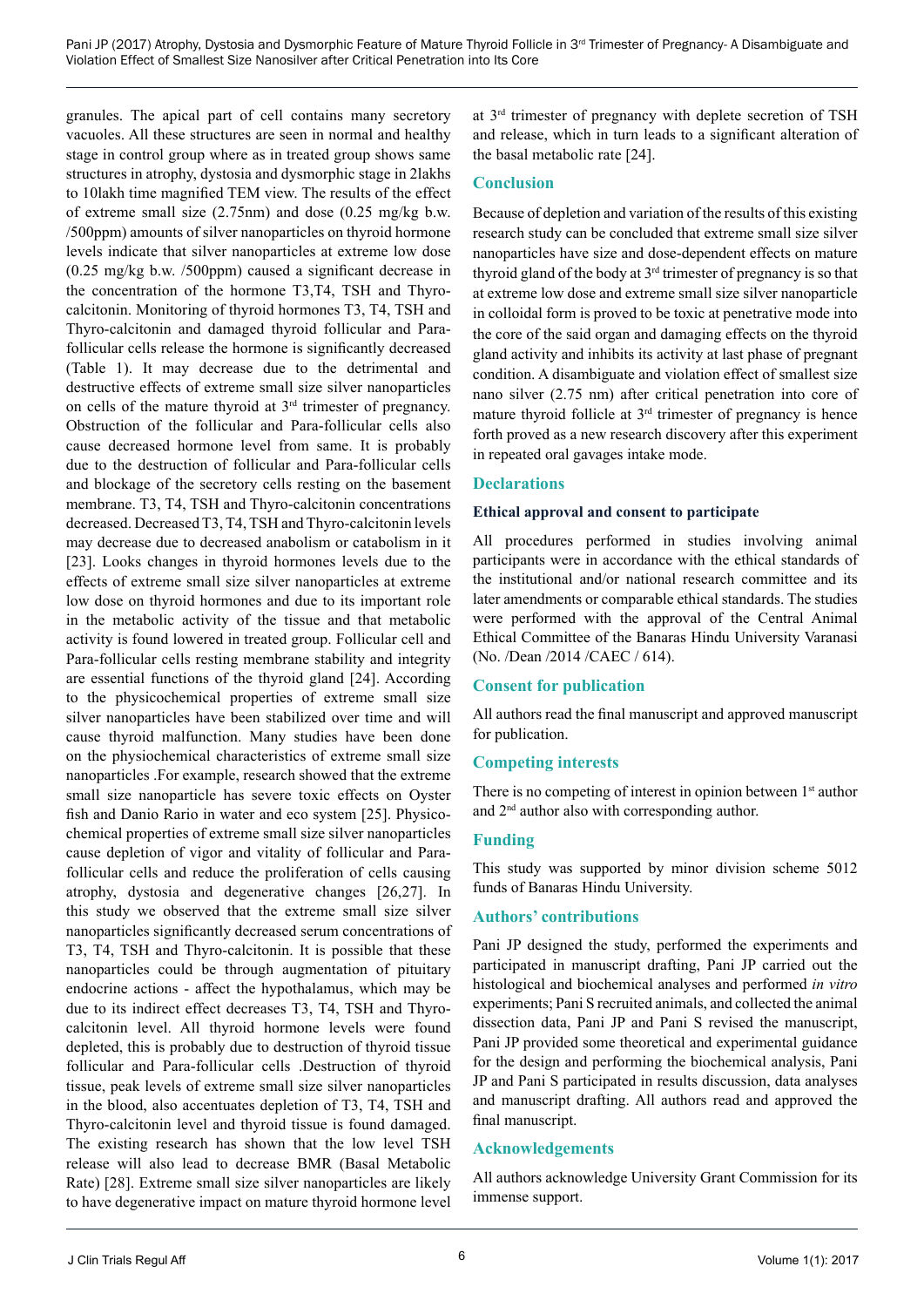granules. The apical part of cell contains many secretory vacuoles. All these structures are seen in normal and healthy stage in control group where as in treated group shows same structures in atrophy, dystosia and dysmorphic stage in 2lakhs to 10lakh time magnified TEM view. The results of the effect of extreme small size (2.75nm) and dose (0.25 mg/kg b.w. /500ppm) amounts of silver nanoparticles on thyroid hormone levels indicate that silver nanoparticles at extreme low dose (0.25 mg/kg b.w. /500ppm) caused a significant decrease in the concentration of the hormone T3,T4, TSH and Thyrocalcitonin. Monitoring of thyroid hormones T3, T4, TSH and Thyro-calcitonin and damaged thyroid follicular and Parafollicular cells release the hormone is significantly decreased (Table 1). It may decrease due to the detrimental and destructive effects of extreme small size silver nanoparticles on cells of the mature thyroid at 3rd trimester of pregnancy. Obstruction of the follicular and Para-follicular cells also cause decreased hormone level from same. It is probably due to the destruction of follicular and Para-follicular cells and blockage of the secretory cells resting on the basement membrane. T3, T4, TSH and Thyro-calcitonin concentrations decreased. Decreased T3, T4, TSH and Thyro-calcitonin levels may decrease due to decreased anabolism or catabolism in it [23]. Looks changes in thyroid hormones levels due to the effects of extreme small size silver nanoparticles at extreme low dose on thyroid hormones and due to its important role in the metabolic activity of the tissue and that metabolic activity is found lowered in treated group. Follicular cell and Para-follicular cells resting membrane stability and integrity are essential functions of the thyroid gland [24]. According to the physicochemical properties of extreme small size silver nanoparticles have been stabilized over time and will cause thyroid malfunction. Many studies have been done on the physiochemical characteristics of extreme small size nanoparticles .For example, research showed that the extreme small size nanoparticle has severe toxic effects on Oyster fish and Danio Rario in water and eco system [25]. Physicochemical properties of extreme small size silver nanoparticles cause depletion of vigor and vitality of follicular and Parafollicular cells and reduce the proliferation of cells causing atrophy, dystosia and degenerative changes [26,27]. In this study we observed that the extreme small size silver nanoparticles significantly decreased serum concentrations of T3, T4, TSH and Thyro-calcitonin. It is possible that these nanoparticles could be through augmentation of pituitary endocrine actions - affect the hypothalamus, which may be due to its indirect effect decreases T3, T4, TSH and Thyrocalcitonin level. All thyroid hormone levels were found depleted, this is probably due to destruction of thyroid tissue follicular and Para-follicular cells .Destruction of thyroid tissue, peak levels of extreme small size silver nanoparticles in the blood, also accentuates depletion of T3, T4, TSH and Thyro-calcitonin level and thyroid tissue is found damaged. The existing research has shown that the low level TSH release will also lead to decrease BMR (Basal Metabolic Rate) [28]. Extreme small size silver nanoparticles are likely to have degenerative impact on mature thyroid hormone level

at 3rd trimester of pregnancy with deplete secretion of TSH and release, which in turn leads to a significant alteration of the basal metabolic rate [24].

## **Conclusion**

Because of depletion and variation of the results of this existing research study can be concluded that extreme small size silver nanoparticles have size and dose-dependent effects on mature thyroid gland of the body at  $3<sup>rd</sup>$  trimester of pregnancy is so that at extreme low dose and extreme small size silver nanoparticle in colloidal form is proved to be toxic at penetrative mode into the core of the said organ and damaging effects on the thyroid gland activity and inhibits its activity at last phase of pregnant condition. A disambiguate and violation effect of smallest size nano silver (2.75 nm) after critical penetration into core of mature thyroid follicle at 3<sup>rd</sup> trimester of pregnancy is hence forth proved as a new research discovery after this experiment in repeated oral gavages intake mode.

### **Declarations**

#### **Ethical approval and consent to participate**

All procedures performed in studies involving animal participants were in accordance with the ethical standards of the institutional and/or national research committee and its later amendments or comparable ethical standards. The studies were performed with the approval of the Central Animal Ethical Committee of the Banaras Hindu University Varanasi (No. /Dean /2014 /CAEC / 614).

#### **Consent for publication**

All authors read the final manuscript and approved manuscript for publication.

#### **Competing interests**

There is no competing of interest in opinion between  $1<sup>st</sup>$  author and 2nd author also with corresponding author.

# **Funding**

This study was supported by minor division scheme 5012 funds of Banaras Hindu University.

#### **Authors' contributions**

Pani JP designed the study, performed the experiments and participated in manuscript drafting, Pani JP carried out the histological and biochemical analyses and performed *in vitro* experiments; Pani S recruited animals, and collected the animal dissection data, Pani JP and Pani S revised the manuscript, Pani JP provided some theoretical and experimental guidance for the design and performing the biochemical analysis, Pani JP and Pani S participated in results discussion, data analyses and manuscript drafting. All authors read and approved the final manuscript.

# **Acknowledgements**

All authors acknowledge University Grant Commission for its immense support.